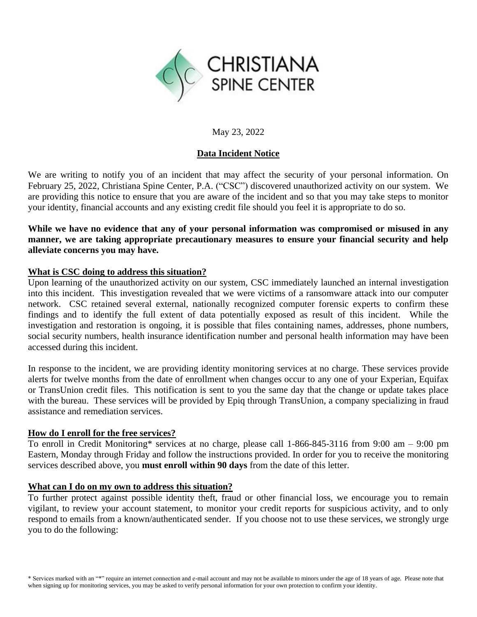

# May 23, 2022

# **Data Incident Notice**

We are writing to notify you of an incident that may affect the security of your personal information. On February 25, 2022, Christiana Spine Center, P.A. ("CSC") discovered unauthorized activity on our system. We are providing this notice to ensure that you are aware of the incident and so that you may take steps to monitor your identity, financial accounts and any existing credit file should you feel it is appropriate to do so.

**While we have no evidence that any of your personal information was compromised or misused in any manner, we are taking appropriate precautionary measures to ensure your financial security and help alleviate concerns you may have.**

# **What is CSC doing to address this situation?**

Upon learning of the unauthorized activity on our system, CSC immediately launched an internal investigation into this incident. This investigation revealed that we were victims of a ransomware attack into our computer network. CSC retained several external, nationally recognized computer forensic experts to confirm these findings and to identify the full extent of data potentially exposed as result of this incident. While the investigation and restoration is ongoing, it is possible that files containing names, addresses, phone numbers, social security numbers, health insurance identification number and personal health information may have been accessed during this incident.

In response to the incident, we are providing identity monitoring services at no charge. These services provide alerts for twelve months from the date of enrollment when changes occur to any one of your Experian, Equifax or TransUnion credit files. This notification is sent to you the same day that the change or update takes place with the bureau. These services will be provided by Epiq through TransUnion, a company specializing in fraud assistance and remediation services.

### **How do I enroll for the free services?**

To enroll in Credit Monitoring\* services at no charge, please call 1-866-845-3116 from 9:00 am – 9:00 pm Eastern, Monday through Friday and follow the instructions provided. In order for you to receive the monitoring services described above, you **must enroll within 90 days** from the date of this letter.

### **What can I do on my own to address this situation?**

To further protect against possible identity theft, fraud or other financial loss, we encourage you to remain vigilant, to review your account statement, to monitor your credit reports for suspicious activity, and to only respond to emails from a known/authenticated sender. If you choose not to use these services, we strongly urge you to do the following: